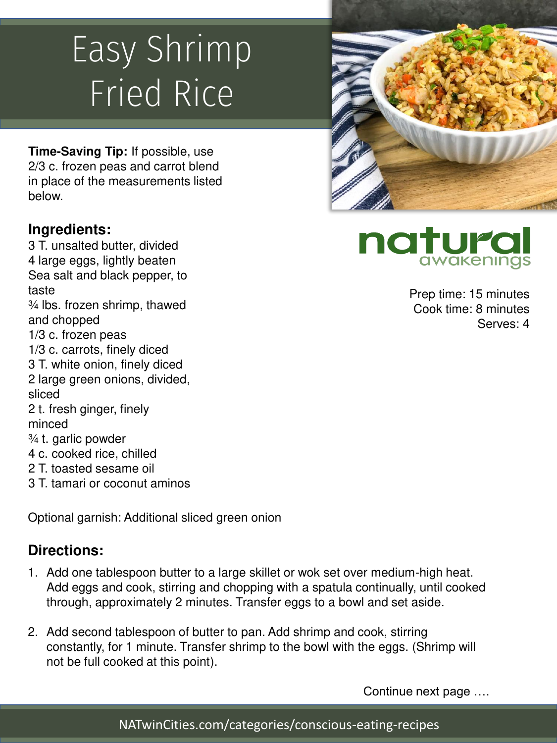# Easy Shrimp Fried Rice

**Time-Saving Tip:** If possible, use 2/3 c. frozen peas and carrot blend in place of the measurements listed below.

#### **Ingredients:**

3 T. unsalted butter, divided 4 large eggs, lightly beaten Sea salt and black pepper, to taste ¾ lbs. frozen shrimp, thawed and chopped 1/3 c. frozen peas 1/3 c. carrots, finely diced 3 T. white onion, finely diced 2 large green onions, divided, sliced 2 t. fresh ginger, finely minced ¾ t. garlic powder 4 c. cooked rice, chilled 2 T. toasted sesame oil 3 T. tamari or coconut aminos

Optional garnish: Additional sliced green onion

### **Directions:**

- 1. Add one tablespoon butter to a large skillet or wok set over medium-high heat. Add eggs and cook, stirring and chopping with a spatula continually, until cooked through, approximately 2 minutes. Transfer eggs to a bowl and set aside.
- 2. Add second tablespoon of butter to pan. Add shrimp and cook, stirring constantly, for 1 minute. Transfer shrimp to the bowl with the eggs. (Shrimp will not be full cooked at this point).

Continue next page ….



natura awakeninas

> Prep time: 15 minutes Cook time: 8 minutes Serves: 4